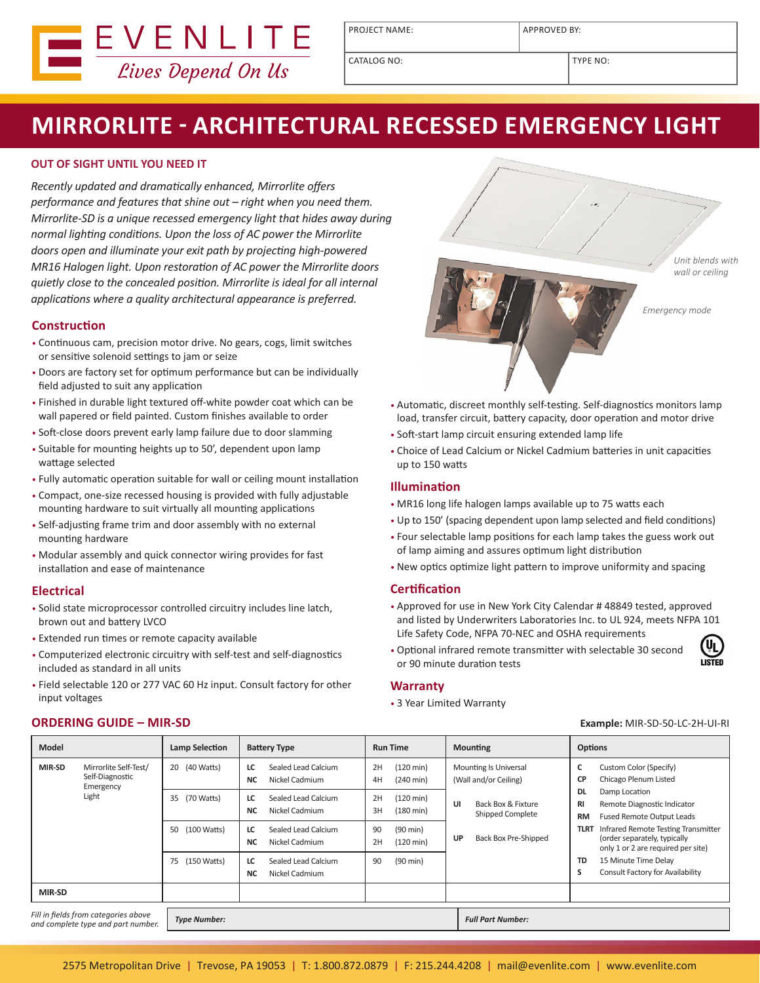

PROJECT NAME: APPROVED BY:

CATALOG NO:  $\vert$  TYPE NO:

# **MIRRORLITE - ARCHITECTURAL RECESSED EMERGENCY LIGHT**

## **OUT OF SIGHT UNTIL YOU NEED IT**

*Recently updated and dramatically enhanced, Mirrorlite offers performance and features that shine out – right when you need them. Mirrorlite-SD is a unique recessed emergency light that hides away during normal lighting conditions. Upon the loss of AC power the Mirrorlite doors open and illuminate your exit path by projecting high-powered MR16 Halogen light. Upon restoration of AC power the Mirrorlite doors quietly close to the concealed position. Mirrorlite is ideal for all internal applications where a quality architectural appearance is preferred.* 

### **Construction**

- Continuous cam, precision motor drive. No gears, cogs, limit switches or sensitive solenoid settings to jam or seize
- Doors are factory set for optimum performance but can be individually field adjusted to suit any application
- Finished in durable light textured off-white powder coat which can be wall papered or field painted. Custom finishes available to order
- Soft-close doors prevent early lamp failure due to door slamming
- Suitable for mounting heights up to 50', dependent upon lamp wattage selected
- Fully automatic operation suitable for wall or ceiling mount installation
- Compact, one-size recessed housing is provided with fully adjustable mounting hardware to suit virtually all mounting applications
- Self-adjusting frame trim and door assembly with no external mounting hardware
- Modular assembly and quick connector wiring provides for fast installation and ease of maintenance

### **Electrical**

- Solid state microprocessor controlled circuitry includes line latch, brown out and battery LVCO
- Extended run times or remote capacity available
- Computerized electronic circuitry with self-test and self-diagnostics included as standard in all units
- Field selectable 120 or 277 VAC 60 Hz input. Consult factory for other input voltages



- Automatic, discreet monthly self-testing. Self-diagnostics monitors lamp load, transfer circuit, battery capacity, door operation and motor drive
- Soft-start lamp circuit ensuring extended lamp life
- Choice of Lead Calcium or Nickel Cadmium batteries in unit capacities up to 150 watts

#### **Illumination**

- MR16 long life halogen lamps available up to 75 watts each
- Up to 150' (spacing dependent upon lamp selected and field conditions)
- Four selectable lamp positions for each lamp takes the guess work out of lamp aiming and assures optimum light distribution
- New optics optimize light pattern to improve uniformity and spacing

#### **Certification**

- Approved for use in New York City Calendar # 48849 tested, approved and listed by Underwriters Laboratories Inc. to UL 924, meets NFPA 101 Life Safety Code, NFPA 70-NEC and OSHA requirements
- Optional infrared remote transmitter with selectable 30 second or 90 minute duration tests



#### **Warranty**

• 3 Year Limited Warranty

| <b>Model</b>                                                               |                                                                | <b>Lamp Selection</b> | <b>Battery Type</b>                                      | <b>Run Time</b>                                        | <b>Mounting</b>                                       | <b>Options</b>                                                                                                           |
|----------------------------------------------------------------------------|----------------------------------------------------------------|-----------------------|----------------------------------------------------------|--------------------------------------------------------|-------------------------------------------------------|--------------------------------------------------------------------------------------------------------------------------|
| MIR-SD                                                                     | Mirrorlite Self-Test/<br>Self-Diagnostic<br>Emergency<br>Light | (40 Watts)<br>20      | Sealed Lead Calcium<br>LC<br>Nickel Cadmium<br><b>NC</b> | 2H<br>$(120 \text{ min})$<br>$(240 \text{ min})$<br>4H | <b>Mounting Is Universal</b><br>(Wall and/or Ceiling) | Custom Color (Specify)<br>c<br>Chicago Plenum Listed<br><b>CP</b>                                                        |
|                                                                            |                                                                | (70 Watts)<br>35      | Sealed Lead Calcium<br>LC<br>Nickel Cadmium<br><b>NC</b> | $(120 \text{ min})$<br>2H<br>3H<br>$(180 \text{ min})$ | UI<br>Back Box & Fixture<br>Shipped Complete          | <b>DL</b><br>Damp Location<br>Remote Diagnostic Indicator<br>RI<br><b>Fused Remote Output Leads</b><br><b>RM</b>         |
|                                                                            |                                                                | (100 Watts)<br>50     | Sealed Lead Calcium<br>LC<br>Nickel Cadmium<br><b>NC</b> | 90<br>$(90 \text{ min})$<br>2H<br>$(120 \text{ min})$  | Back Box Pre-Shipped<br>UP                            | Infrared Remote Testing Transmitter<br><b>TLRT</b><br>(order separately, typically<br>only 1 or 2 are required per site) |
|                                                                            |                                                                | (150 Watts)<br>75     | Sealed Lead Calcium<br>LC<br>Nickel Cadmium<br><b>NC</b> | 90<br>$(90 \text{ min})$                               |                                                       | 15 Minute Time Delay<br>TD<br>Consult Factory for Availability<br>S                                                      |
| MIR-SD                                                                     |                                                                |                       |                                                          |                                                        |                                                       |                                                                                                                          |
| Fill in fields from categories above<br>and complete type and part number. |                                                                | <b>Type Number:</b>   |                                                          |                                                        | <b>Full Part Number:</b>                              |                                                                                                                          |

**ORDERING GUIDE – MIR-SD Example:** MIR-SD-50-LC-2H-UI-RI